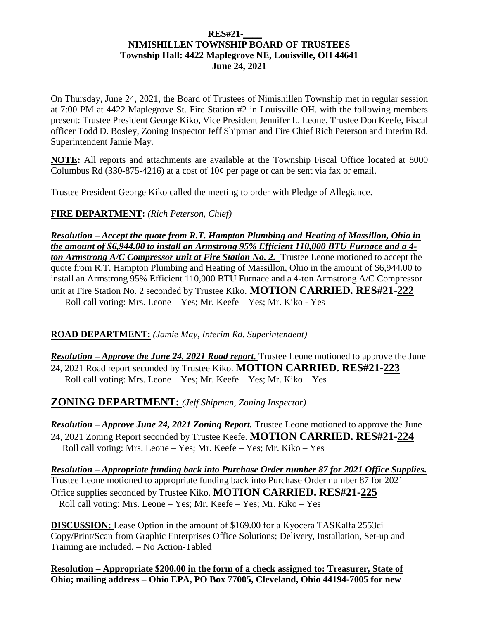#### **RES#21-\_\_\_\_ NIMISHILLEN TOWNSHIP BOARD OF TRUSTEES Township Hall: 4422 Maplegrove NE, Louisville, OH 44641 June 24, 2021**

On Thursday, June 24, 2021, the Board of Trustees of Nimishillen Township met in regular session at 7:00 PM at 4422 Maplegrove St. Fire Station #2 in Louisville OH. with the following members present: Trustee President George Kiko, Vice President Jennifer L. Leone, Trustee Don Keefe, Fiscal officer Todd D. Bosley, Zoning Inspector Jeff Shipman and Fire Chief Rich Peterson and Interim Rd. Superintendent Jamie May.

**NOTE:** All reports and attachments are available at the Township Fiscal Office located at 8000 Columbus Rd (330-875-4216) at a cost of  $10¢$  per page or can be sent via fax or email.

Trustee President George Kiko called the meeting to order with Pledge of Allegiance.

**FIRE DEPARTMENT:** *(Rich Peterson, Chief)*

*Resolution – Accept the quote from R.T. Hampton Plumbing and Heating of Massillon, Ohio in the amount of \$6,944.00 to install an Armstrong 95% Efficient 110,000 BTU Furnace and a 4 ton Armstrong A/C Compressor unit at Fire Station No. 2.* Trustee Leone motioned to accept the quote from R.T. Hampton Plumbing and Heating of Massillon, Ohio in the amount of \$6,944.00 to install an Armstrong 95% Efficient 110,000 BTU Furnace and a 4-ton Armstrong A/C Compressor unit at Fire Station No. 2 seconded by Trustee Kiko. **MOTION CARRIED. RES#21-222** Roll call voting: Mrs. Leone – Yes; Mr. Keefe – Yes; Mr. Kiko - Yes

**ROAD DEPARTMENT:** *(Jamie May, Interim Rd. Superintendent)*

*Resolution – Approve the June 24, 2021 Road report.* Trustee Leone motioned to approve the June 24, 2021 Road report seconded by Trustee Kiko. **MOTION CARRIED. RES#21-223** Roll call voting: Mrs. Leone – Yes; Mr. Keefe – Yes; Mr. Kiko – Yes

**ZONING DEPARTMENT:** *(Jeff Shipman, Zoning Inspector)*

*Resolution – Approve June 24, 2021 Zoning Report.* Trustee Leone motioned to approve the June 24, 2021 Zoning Report seconded by Trustee Keefe. **MOTION CARRIED. RES#21-224** Roll call voting: Mrs. Leone – Yes; Mr. Keefe – Yes; Mr. Kiko – Yes

*Resolution – Appropriate funding back into Purchase Order number 87 for 2021 Office Supplies.*  Trustee Leone motioned to appropriate funding back into Purchase Order number 87 for 2021 Office supplies seconded by Trustee Kiko. **MOTION CARRIED. RES#21-225** Roll call voting: Mrs. Leone – Yes; Mr. Keefe – Yes; Mr. Kiko – Yes

**DISCUSSION:** Lease Option in the amount of \$169.00 for a Kyocera TASKalfa 2553ci Copy/Print/Scan from Graphic Enterprises Office Solutions; Delivery, Installation, Set-up and Training are included. – No Action-Tabled

**Resolution – Appropriate \$200.00 in the form of a check assigned to: Treasurer, State of Ohio; mailing address – Ohio EPA, PO Box 77005, Cleveland, Ohio 44194-7005 for new**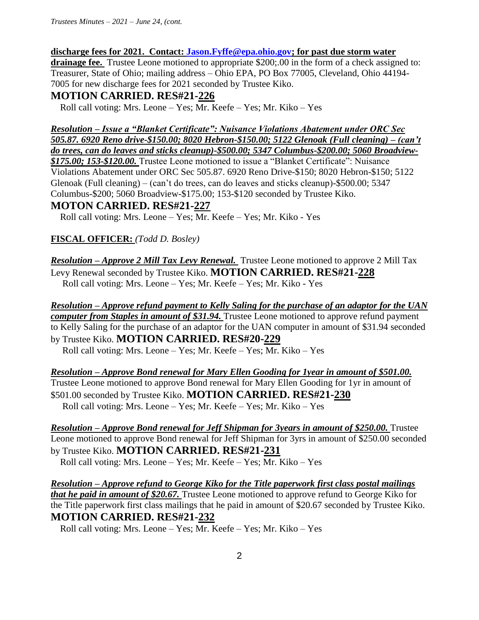*Trustees Minutes – 2021 – June 24, (cont.*

#### **discharge fees for 2021. Contact: [Jason.Fyffe@epa.ohio.gov;](mailto:Jason.Fyffe@epa.ohio.gov) for past due storm water**

**drainage fee.** Trustee Leone motioned to appropriate \$200;.00 in the form of a check assigned to: Treasurer, State of Ohio; mailing address – Ohio EPA, PO Box 77005, Cleveland, Ohio 44194- 7005 for new discharge fees for 2021 seconded by Trustee Kiko.

#### **MOTION CARRIED. RES#21-226**

Roll call voting: Mrs. Leone – Yes; Mr. Keefe – Yes; Mr. Kiko – Yes

*Resolution – Issue a "Blanket Certificate": Nuisance Violations Abatement under ORC Sec 505.87. 6920 Reno drive-\$150.00; 8020 Hebron-\$150.00; 5122 Glenoak (Full cleaning) – (can't do trees, can do leaves and sticks cleanup)-\$500.00; 5347 Columbus-\$200.00; 5060 Broadview- \$175.00; 153-\$120.00.* Trustee Leone motioned to issue a "Blanket Certificate": Nuisance Violations Abatement under ORC Sec 505.87. 6920 Reno Drive-\$150; 8020 Hebron-\$150; 5122 Glenoak (Full cleaning) – (can't do trees, can do leaves and sticks cleanup)-\$500.00; 5347 Columbus-\$200; 5060 Broadview-\$175.00; 153-\$120 seconded by Trustee Kiko.

#### **MOTON CARRIED. RES#21-227**

Roll call voting: Mrs. Leone – Yes; Mr. Keefe – Yes; Mr. Kiko - Yes

#### **FISCAL OFFICER:** *(Todd D. Bosley)*

*Resolution – Approve 2 Mill Tax Levy Renewal.* Trustee Leone motioned to approve 2 Mill Tax Levy Renewal seconded by Trustee Kiko. **MOTION CARRIED. RES#21-228** Roll call voting: Mrs. Leone – Yes; Mr. Keefe – Yes; Mr. Kiko - Yes

*Resolution – Approve refund payment to Kelly Saling for the purchase of an adaptor for the UAN computer from Staples in amount of \$31.94.* Trustee Leone motioned to approve refund payment to Kelly Saling for the purchase of an adaptor for the UAN computer in amount of \$31.94 seconded by Trustee Kiko. **MOTION CARRIED. RES#20-229** Roll call voting: Mrs. Leone – Yes; Mr. Keefe – Yes; Mr. Kiko – Yes

*Resolution – Approve Bond renewal for Mary Ellen Gooding for 1year in amount of \$501.00.*  Trustee Leone motioned to approve Bond renewal for Mary Ellen Gooding for 1yr in amount of \$501.00 seconded by Trustee Kiko. **MOTION CARRIED. RES#21-230** Roll call voting: Mrs. Leone – Yes; Mr. Keefe – Yes; Mr. Kiko – Yes

*Resolution – Approve Bond renewal for Jeff Shipman for 3years in amount of \$250.00.* Trustee Leone motioned to approve Bond renewal for Jeff Shipman for 3yrs in amount of \$250.00 seconded by Trustee Kiko. **MOTION CARRIED. RES#21-231** Roll call voting: Mrs. Leone – Yes; Mr. Keefe – Yes; Mr. Kiko – Yes

*Resolution – Approve refund to George Kiko for the Title paperwork first class postal mailings that he paid in amount of \$20.67.* Trustee Leone motioned to approve refund to George Kiko for the Title paperwork first class mailings that he paid in amount of \$20.67 seconded by Trustee Kiko. **MOTION CARRIED. RES#21-232**

Roll call voting: Mrs. Leone – Yes; Mr. Keefe – Yes; Mr. Kiko – Yes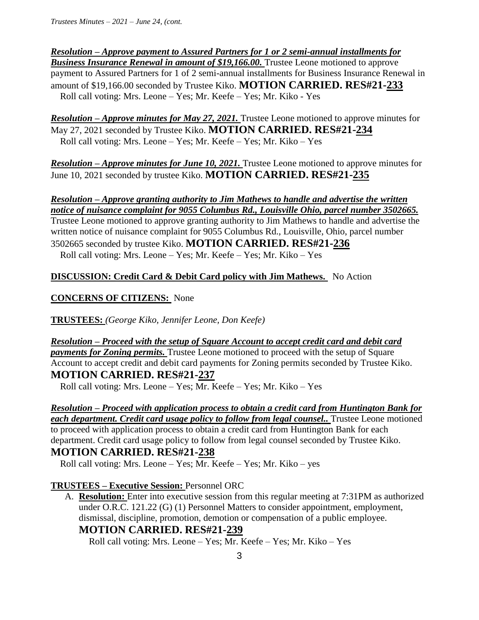## *Resolution – Approve payment to Assured Partners for 1 or 2 semi-annual installments for*

*Business Insurance Renewal in amount of \$19,166.00.* **Trustee Leone motioned to approve** payment to Assured Partners for 1 of 2 semi-annual installments for Business Insurance Renewal in amount of \$19,166.00 seconded by Trustee Kiko. **MOTION CARRIED. RES#21-233** Roll call voting: Mrs. Leone – Yes; Mr. Keefe – Yes; Mr. Kiko - Yes

*Resolution – Approve minutes for May 27, 2021.* Trustee Leone motioned to approve minutes for May 27, 2021 seconded by Trustee Kiko. **MOTION CARRIED. RES#21-234**  Roll call voting: Mrs. Leone – Yes; Mr. Keefe – Yes; Mr. Kiko – Yes

*Resolution – Approve minutes for June 10, 2021.* Trustee Leone motioned to approve minutes for June 10, 2021 seconded by trustee Kiko. **MOTION CARRIED. RES#21-235**

#### *Resolution – Approve granting authority to Jim Mathews to handle and advertise the written notice of nuisance complaint for 9055 Columbus Rd., Louisville Ohio, parcel number 3502665.*

Trustee Leone motioned to approve granting authority to Jim Mathews to handle and advertise the written notice of nuisance complaint for 9055 Columbus Rd., Louisville, Ohio, parcel number 3502665 seconded by trustee Kiko. **MOTION CARRIED. RES#21-236**  Roll call voting: Mrs. Leone – Yes; Mr. Keefe – Yes; Mr. Kiko – Yes

### **DISCUSSION: Credit Card & Debit Card policy with Jim Mathews.** No Action

### **CONCERNS OF CITIZENS:** None

**TRUSTEES:** *(George Kiko, Jennifer Leone, Don Keefe)*

*Resolution – Proceed with the setup of Square Account to accept credit card and debit card payments for Zoning permits.* Trustee Leone motioned to proceed with the setup of Square Account to accept credit and debit card payments for Zoning permits seconded by Trustee Kiko. **MOTION CARRIED. RES#21-237**

Roll call voting: Mrs. Leone – Yes; Mr. Keefe – Yes; Mr. Kiko – Yes

# *Resolution – Proceed with application process to obtain a credit card from Huntington Bank for*

*each department. Credit card usage policy to follow from legal counsel..* Trustee Leone motioned to proceed with application process to obtain a credit card from Huntington Bank for each department. Credit card usage policy to follow from legal counsel seconded by Trustee Kiko.

## **MOTION CARRIED. RES#21-238**

Roll call voting: Mrs. Leone – Yes; Mr. Keefe – Yes; Mr. Kiko – yes

### **TRUSTEES – Executive Session:** Personnel ORC

A. **Resolution:** Enter into executive session from this regular meeting at 7:31PM as authorized under O.R.C. 121.22 (G) (1) Personnel Matters to consider appointment, employment, dismissal, discipline, promotion, demotion or compensation of a public employee.

# **MOTION CARRIED. RES#21-239**

Roll call voting: Mrs. Leone – Yes; Mr. Keefe – Yes; Mr. Kiko – Yes